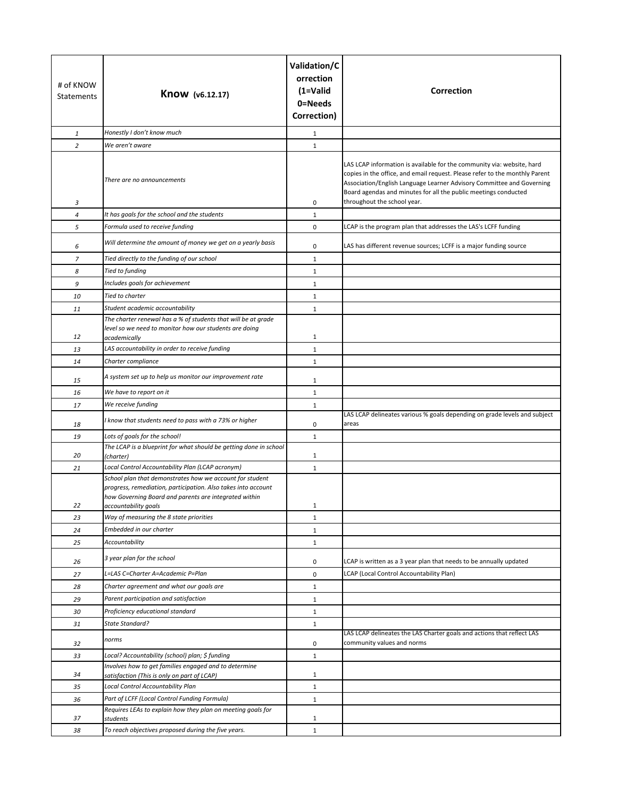| # of KNOW<br>Statements | Know (v6.12.17)                                                                                                                                                                                            | Validation/C<br>orrection<br>$(1=Valid)$<br>0=Needs<br>Correction) | <b>Correction</b>                                                                                                                                                                                                                                                                                                                |
|-------------------------|------------------------------------------------------------------------------------------------------------------------------------------------------------------------------------------------------------|--------------------------------------------------------------------|----------------------------------------------------------------------------------------------------------------------------------------------------------------------------------------------------------------------------------------------------------------------------------------------------------------------------------|
| $\mathbf{1}$            | Honestly I don't know much                                                                                                                                                                                 | $\mathbf{1}$                                                       |                                                                                                                                                                                                                                                                                                                                  |
| $\overline{a}$          | We aren't aware                                                                                                                                                                                            | $\mathbf{1}$                                                       |                                                                                                                                                                                                                                                                                                                                  |
| 3                       | There are no announcements                                                                                                                                                                                 | 0                                                                  | LAS LCAP information is available for the community via: website, hard<br>copies in the office, and email request. Please refer to the monthly Parent<br>Association/English Language Learner Advisory Committee and Governing<br>Board agendas and minutes for all the public meetings conducted<br>throughout the school year. |
| $\overline{a}$          | It has goals for the school and the students                                                                                                                                                               | $\mathbf{1}$                                                       |                                                                                                                                                                                                                                                                                                                                  |
| 5                       | Formula used to receive funding                                                                                                                                                                            | $\mathsf 0$                                                        | LCAP is the program plan that addresses the LAS's LCFF funding                                                                                                                                                                                                                                                                   |
| 6                       | Will determine the amount of money we get on a yearly basis                                                                                                                                                | 0                                                                  | LAS has different revenue sources; LCFF is a major funding source                                                                                                                                                                                                                                                                |
| $\overline{z}$          | Tied directly to the funding of our school                                                                                                                                                                 | $\mathbf{1}$                                                       |                                                                                                                                                                                                                                                                                                                                  |
| 8                       | Tied to funding                                                                                                                                                                                            | $\mathbf{1}$                                                       |                                                                                                                                                                                                                                                                                                                                  |
| 9                       | Includes goals for achievement                                                                                                                                                                             | $\mathbf{1}$                                                       |                                                                                                                                                                                                                                                                                                                                  |
| 10                      | Tied to charter                                                                                                                                                                                            | $\mathbf{1}$                                                       |                                                                                                                                                                                                                                                                                                                                  |
| 11                      | Student academic accountability                                                                                                                                                                            | $\mathbf{1}$                                                       |                                                                                                                                                                                                                                                                                                                                  |
| 12                      | The charter renewal has a % of students that will be at grade<br>level so we need to monitor how our students are doing<br>academically                                                                    | $\mathbf{1}$                                                       |                                                                                                                                                                                                                                                                                                                                  |
| 13                      | LAS accountability in order to receive funding                                                                                                                                                             | $\mathbf{1}$                                                       |                                                                                                                                                                                                                                                                                                                                  |
| 14                      | Charter compliance                                                                                                                                                                                         | $\mathbf{1}$                                                       |                                                                                                                                                                                                                                                                                                                                  |
| 15                      | A system set up to help us monitor our improvement rate                                                                                                                                                    | $\mathbf{1}$                                                       |                                                                                                                                                                                                                                                                                                                                  |
| 16                      | We have to report on it                                                                                                                                                                                    | $\mathbf{1}$                                                       |                                                                                                                                                                                                                                                                                                                                  |
| 17                      | We receive funding                                                                                                                                                                                         | $\mathbf{1}$                                                       |                                                                                                                                                                                                                                                                                                                                  |
| 18                      | I know that students need to pass with a 73% or higher                                                                                                                                                     | 0                                                                  | LAS LCAP delineates various % goals depending on grade levels and subject<br>areas                                                                                                                                                                                                                                               |
| 19                      | Lots of goals for the school!                                                                                                                                                                              | $\mathbf{1}$                                                       |                                                                                                                                                                                                                                                                                                                                  |
| 20                      | The LCAP is a blueprint for what should be getting done in school<br>(charter)                                                                                                                             | $\mathbf{1}$                                                       |                                                                                                                                                                                                                                                                                                                                  |
| 21                      | Local Control Accountability Plan (LCAP acronym)                                                                                                                                                           | $\mathbf{1}$                                                       |                                                                                                                                                                                                                                                                                                                                  |
| 22                      | School plan that demonstrates how we account for student<br>progress, remediation, participation. Also takes into account<br>how Governing Board and parents are integrated within<br>accountability goals | 1                                                                  |                                                                                                                                                                                                                                                                                                                                  |
| 23                      | Way of measuring the 8 state priorities                                                                                                                                                                    | $\mathbf{1}$                                                       |                                                                                                                                                                                                                                                                                                                                  |
| 24                      | Embedded in our charter                                                                                                                                                                                    | $\mathbf{1}$                                                       |                                                                                                                                                                                                                                                                                                                                  |
| 25                      | <b>Accountability</b>                                                                                                                                                                                      | $\mathbf{1}$                                                       |                                                                                                                                                                                                                                                                                                                                  |
| 26                      | 3 year plan for the school                                                                                                                                                                                 | 0                                                                  | LCAP is written as a 3 year plan that needs to be annually updated                                                                                                                                                                                                                                                               |
| 27                      | L=LAS C=Charter A=Academic P=Plan                                                                                                                                                                          | $\mathsf 0$                                                        | LCAP (Local Control Accountability Plan)                                                                                                                                                                                                                                                                                         |
| 28                      | Charter agreement and what our goals are                                                                                                                                                                   | $\mathbf{1}$                                                       |                                                                                                                                                                                                                                                                                                                                  |
| 29                      | Parent participation and satisfaction                                                                                                                                                                      | $\mathbf{1}$                                                       |                                                                                                                                                                                                                                                                                                                                  |
| 30                      | Proficiency educational standard                                                                                                                                                                           | $\mathbf{1}$                                                       |                                                                                                                                                                                                                                                                                                                                  |
| 31                      | State Standard?                                                                                                                                                                                            | $\mathbf{1}$                                                       |                                                                                                                                                                                                                                                                                                                                  |
| 32                      | norms                                                                                                                                                                                                      | 0                                                                  | LAS LCAP delineates the LAS Charter goals and actions that reflect LAS<br>community values and norms                                                                                                                                                                                                                             |
| 33                      | Local? Accountability (school) plan; \$ funding                                                                                                                                                            | $\mathbf{1}$                                                       |                                                                                                                                                                                                                                                                                                                                  |
| 34                      | Involves how to get families engaged and to determine<br>satisfaction (This is only on part of LCAP)                                                                                                       | $\mathbf{1}$                                                       |                                                                                                                                                                                                                                                                                                                                  |
| 35                      | Local Control Accountability Plan                                                                                                                                                                          | $\mathbf{1}$                                                       |                                                                                                                                                                                                                                                                                                                                  |
| 36                      | Part of LCFF (Local Control Funding Formula)                                                                                                                                                               | $\mathbf{1}$                                                       |                                                                                                                                                                                                                                                                                                                                  |
| 37                      | Requires LEAs to explain how they plan on meeting goals for<br>students                                                                                                                                    | $\mathbf{1}$                                                       |                                                                                                                                                                                                                                                                                                                                  |
| 38                      | To reach objectives proposed during the five years.                                                                                                                                                        | $\mathbf 1$                                                        |                                                                                                                                                                                                                                                                                                                                  |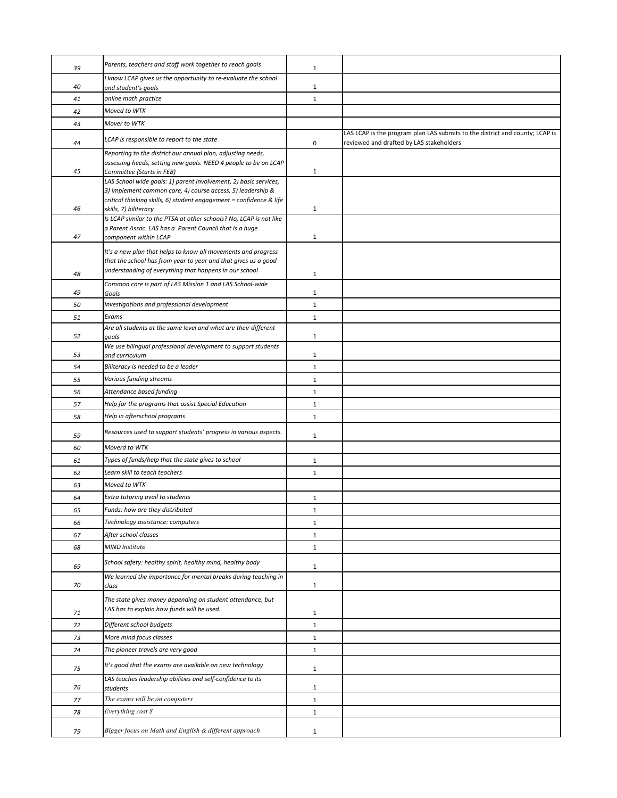| 39       | Parents, teachers and staff work together to reach goals                                                                                                    | $\mathbf{1}$                 |                                                                              |
|----------|-------------------------------------------------------------------------------------------------------------------------------------------------------------|------------------------------|------------------------------------------------------------------------------|
| 40       | I know LCAP gives us the opportunity to re-evaluate the school                                                                                              | $\mathbf{1}$                 |                                                                              |
| 41       | and student's goals<br>online math practice                                                                                                                 | $\mathbf{1}$                 |                                                                              |
| 42       | Moved to WTK                                                                                                                                                |                              |                                                                              |
| 43       | Mover to WTK                                                                                                                                                |                              |                                                                              |
|          |                                                                                                                                                             |                              | LAS LCAP is the program plan LAS submits to the district and county; LCAP is |
| 44       | LCAP is responsible to report to the state                                                                                                                  | 0                            | reviewed and drafted by LAS stakeholders                                     |
| 45       | Reporting to the district our annual plan, adjusting needs,<br>assessing heeds, setting new goals. NEED 4 people to be on LCAP<br>Committee (Starts in FEB) | $\mathbf{1}$                 |                                                                              |
|          | LAS School wide goals: 1) parent involvement, 2) basic services,                                                                                            |                              |                                                                              |
| 46       | 3) implement common core, 4) course access, 5) leadership &<br>critical thinking skills, 6) student engagement = confidence & life<br>skills, 7) biliteracy | $\mathbf{1}$                 |                                                                              |
|          | Is LCAP similar to the PTSA at other schools? No, LCAP is not like                                                                                          |                              |                                                                              |
|          | a Parent Assoc. LAS has a Parent Council that is a huge                                                                                                     |                              |                                                                              |
| 47       | component within LCAP                                                                                                                                       | $\mathbf{1}$                 |                                                                              |
|          | It's a new plan that helps to know all movements and progress                                                                                               |                              |                                                                              |
|          | that the school has from year to year and that gives us a good<br>understanding of everything that happens in our school                                    |                              |                                                                              |
| 48       | Common core is part of LAS Mission 1 and LAS School-wide                                                                                                    | 1                            |                                                                              |
| 49       | Goals                                                                                                                                                       | $\mathbf{1}$                 |                                                                              |
| 50       | Investigations and professional development                                                                                                                 | $\mathbf 1$                  |                                                                              |
| 51       | Exams                                                                                                                                                       | $\mathbf{1}$                 |                                                                              |
| 52       | Are all students at the same level and what are their different<br>goals                                                                                    | $\mathbf{1}$                 |                                                                              |
|          | We use bilingual professional development to support students                                                                                               |                              |                                                                              |
| 53       | and curriculum<br>Biliteracy is needed to be a leader                                                                                                       | $\mathbf{1}$                 |                                                                              |
| 54       | Various funding streams                                                                                                                                     | $\mathbf{1}$                 |                                                                              |
| 55       | Attendance based funding                                                                                                                                    | $\mathbf{1}$                 |                                                                              |
| 56<br>57 | Help for the programs that assist Special Education                                                                                                         | $\mathbf{1}$                 |                                                                              |
| 58       | Help in afterschool programs                                                                                                                                | $\mathbf{1}$<br>$\mathbf{1}$ |                                                                              |
|          |                                                                                                                                                             |                              |                                                                              |
| 59       | Resources used to support students' progress in various aspects.<br>Moverd to WTK                                                                           | $\mathbf{1}$                 |                                                                              |
| 60       |                                                                                                                                                             |                              |                                                                              |
| 61<br>62 | Types of funds/help that the state gives to school<br>Learn skill to teach teachers                                                                         | $\mathbf{1}$                 |                                                                              |
|          | Moved to WTK                                                                                                                                                | $\mathbf{1}$                 |                                                                              |
| 63<br>64 | Extra tutoring avail to students                                                                                                                            | $\mathbf{1}$                 |                                                                              |
| 65       | Funds: how are they distributed                                                                                                                             | $\mathbf 1$                  |                                                                              |
| 66       | Technology assistance: computers                                                                                                                            | $\mathbf{1}$                 |                                                                              |
| 67       | After school classes                                                                                                                                        | $\mathbf{1}$                 |                                                                              |
| 68       | <b>MIND Institute</b>                                                                                                                                       | $\mathbf{1}$                 |                                                                              |
|          | School safety: healthy spirit, healthy mind, healthy body                                                                                                   |                              |                                                                              |
| 69       | We learned the importance for mental breaks during teaching in                                                                                              | $\mathbf{1}$                 |                                                                              |
| 70       | class                                                                                                                                                       | $\mathbf{1}$                 |                                                                              |
|          | The state gives money depending on student attendance, but                                                                                                  |                              |                                                                              |
| 71       | LAS has to explain how funds will be used.                                                                                                                  | $\mathbf{1}$                 |                                                                              |
| 72       | Different school budgets                                                                                                                                    | $\mathbf{1}$                 |                                                                              |
| 73       | More mind focus classes                                                                                                                                     | $\mathbf{1}$                 |                                                                              |
| 74       | The pioneer travels are very good                                                                                                                           | $\mathbf{1}$                 |                                                                              |
| 75       | It's good that the exams are available on new technology                                                                                                    | $\mathbf{1}$                 |                                                                              |
| 76       | LAS teaches leadership abilities and self-confidence to its<br>students                                                                                     | $\mathbf{1}$                 |                                                                              |
| 77       | The exams will be on computers                                                                                                                              | $\mathbf{1}$                 |                                                                              |
| 78       | Everything cost \$                                                                                                                                          | $\mathbf{1}$                 |                                                                              |
|          |                                                                                                                                                             |                              |                                                                              |
| 79       | Bigger focus on Math and English & different approach                                                                                                       | $\mathbf{1}$                 |                                                                              |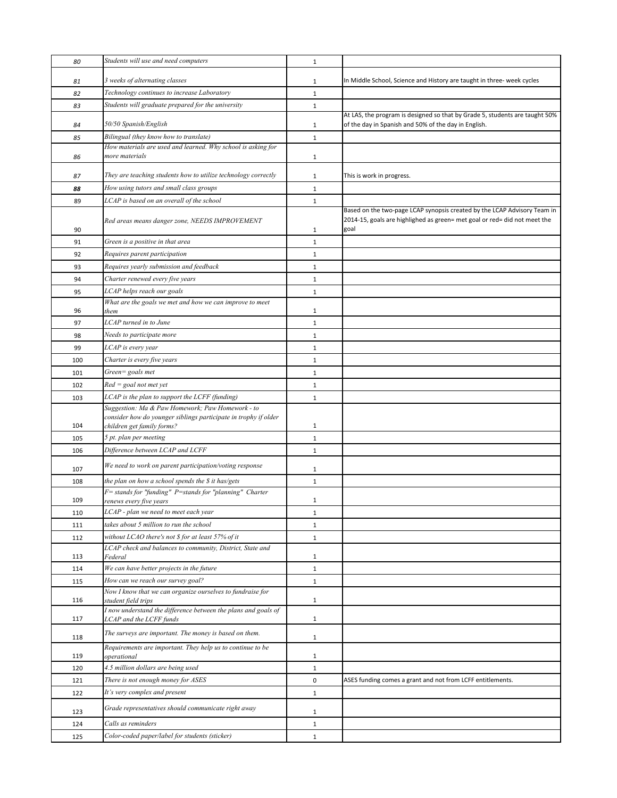| 80  | Students will use and need computers                                                                                                              | $\mathbf{1}$ |                                                                                                                                                               |
|-----|---------------------------------------------------------------------------------------------------------------------------------------------------|--------------|---------------------------------------------------------------------------------------------------------------------------------------------------------------|
| 81  | 3 weeks of alternating classes                                                                                                                    | $\mathbf{1}$ | In Middle School, Science and History are taught in three- week cycles                                                                                        |
| 82  | Technology continues to increase Laboratory                                                                                                       | $\mathbf{1}$ |                                                                                                                                                               |
| 83  | Students will graduate prepared for the university                                                                                                | $\mathbf{1}$ |                                                                                                                                                               |
| 84  | 50/50 Spanish/English                                                                                                                             | 1            | At LAS, the program is designed so that by Grade 5, students are taught 50%<br>of the day in Spanish and 50% of the day in English.                           |
| 85  | Bilingual (they know how to translate)                                                                                                            | $\mathbf{1}$ |                                                                                                                                                               |
| 86  | How materials are used and learned. Why school is asking for<br>more materials                                                                    | 1            |                                                                                                                                                               |
| 87  | They are teaching students how to utilize technology correctly                                                                                    | $\mathbf{1}$ | This is work in progress.                                                                                                                                     |
| 88  | How using tutors and small class groups                                                                                                           | $\mathbf{1}$ |                                                                                                                                                               |
| 89  | LCAP is based on an overall of the school                                                                                                         | $\mathbf{1}$ |                                                                                                                                                               |
| 90  | Red areas means danger zone, NEEDS IMPROVEMENT                                                                                                    | $\mathbf{1}$ | Based on the two-page LCAP synopsis created by the LCAP Advisory Team in<br>2014-15, goals are highlighed as green= met goal or red= did not meet the<br>goal |
| 91  | Green is a positive in that area                                                                                                                  | $\mathbf{1}$ |                                                                                                                                                               |
| 92  | Requires parent participation                                                                                                                     | $\mathbf{1}$ |                                                                                                                                                               |
| 93  | Requires yearly submission and feedback                                                                                                           | $\mathbf{1}$ |                                                                                                                                                               |
| 94  | Charter renewed every five years                                                                                                                  | $\mathbf{1}$ |                                                                                                                                                               |
| 95  | LCAP helps reach our goals                                                                                                                        | $1\,$        |                                                                                                                                                               |
| 96  | What are the goals we met and how we can improve to meet<br>them                                                                                  | $\mathbf{1}$ |                                                                                                                                                               |
| 97  | LCAP turned in to June                                                                                                                            | $\mathbf{1}$ |                                                                                                                                                               |
| 98  | Needs to participate more                                                                                                                         | $\mathbf{1}$ |                                                                                                                                                               |
| 99  | LCAP is every year                                                                                                                                | $\mathbf{1}$ |                                                                                                                                                               |
| 100 | Charter is every five years                                                                                                                       | $\mathbf{1}$ |                                                                                                                                                               |
| 101 | Green= goals met                                                                                                                                  | $\mathbf{1}$ |                                                                                                                                                               |
| 102 | $Red = goal not met yet$                                                                                                                          | $\mathbf{1}$ |                                                                                                                                                               |
| 103 | LCAP is the plan to support the LCFF (funding)                                                                                                    | $\mathbf{1}$ |                                                                                                                                                               |
| 104 | Suggestion: Ma & Paw Homework; Paw Homework - to<br>consider how do younger siblings participate in trophy if older<br>children get family forms? | $\mathbf{1}$ |                                                                                                                                                               |
| 105 | 5 pt. plan per meeting                                                                                                                            | $\mathbf 1$  |                                                                                                                                                               |
| 106 | Difference between LCAP and LCFF                                                                                                                  | $\mathbf{1}$ |                                                                                                                                                               |
| 107 | We need to work on parent participation/voting response                                                                                           | $\mathbf{1}$ |                                                                                                                                                               |
| 108 | the plan on how a school spends the \$ it has/gets                                                                                                | $\mathbf{1}$ |                                                                                                                                                               |
| 109 | $F =$ stands for "funding" $P =$ stands for "planning" Charter<br>renews every five years                                                         | 1            |                                                                                                                                                               |
| 110 | LCAP - plan we need to meet each year                                                                                                             | $\mathbf{1}$ |                                                                                                                                                               |
| 111 | takes about 5 million to run the school                                                                                                           | $\mathbf{1}$ |                                                                                                                                                               |
| 112 | without LCAO there's not \$ for at least 57% of it                                                                                                | $\mathbf{1}$ |                                                                                                                                                               |
| 113 | LCAP check and balances to community, District, State and<br>Federal                                                                              | $\mathbf{1}$ |                                                                                                                                                               |
| 114 | We can have better projects in the future                                                                                                         | $\mathbf 1$  |                                                                                                                                                               |
| 115 | How can we reach our survey goal?                                                                                                                 | $\mathbf{1}$ |                                                                                                                                                               |
| 116 | Now I know that we can organize ourselves to fundraise for<br>student field trips                                                                 | $\mathbf{1}$ |                                                                                                                                                               |
| 117 | I now understand the difference between the plans and goals of<br>LCAP and the LCFF funds                                                         | $\mathbf{1}$ |                                                                                                                                                               |
| 118 | The surveys are important. The money is based on them.                                                                                            | $\mathbf{1}$ |                                                                                                                                                               |
| 119 | Requirements are important. They help us to continue to be<br>operational                                                                         | $\mathbf{1}$ |                                                                                                                                                               |
| 120 | 4.5 million dollars are being used                                                                                                                | $\mathbf{1}$ |                                                                                                                                                               |
| 121 | There is not enough money for ASES                                                                                                                | $\pmb{0}$    | ASES funding comes a grant and not from LCFF entitlements.                                                                                                    |
| 122 | It's very complex and present                                                                                                                     | $\mathbf{1}$ |                                                                                                                                                               |
| 123 | Grade representatives should communicate right away                                                                                               | $\mathbf{1}$ |                                                                                                                                                               |
| 124 | Calls as reminders                                                                                                                                | $\mathbf{1}$ |                                                                                                                                                               |
| 125 | Color-coded paper/label for students (sticker)                                                                                                    | $\mathbf{1}$ |                                                                                                                                                               |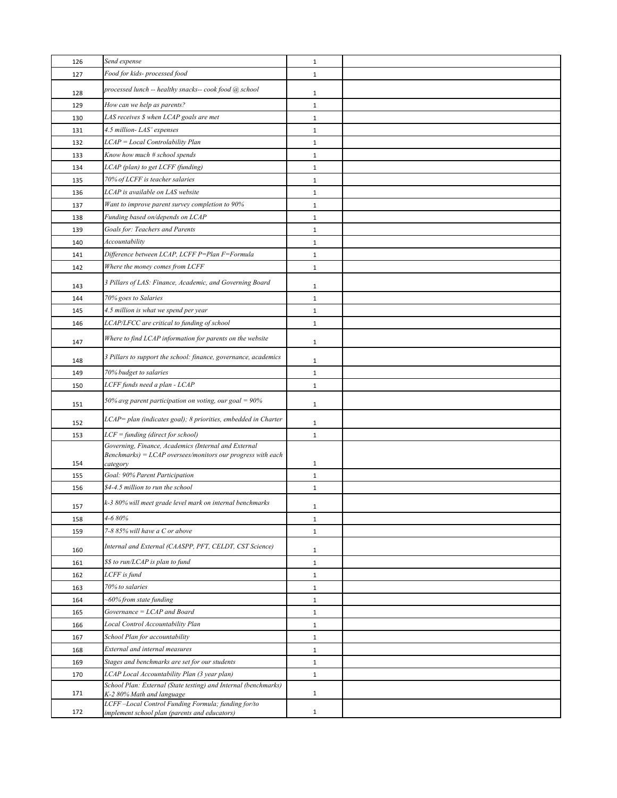| 126 | Send expense                                                                                                           | $\mathbf{1}$ |  |
|-----|------------------------------------------------------------------------------------------------------------------------|--------------|--|
| 127 | Food for kids- processed food                                                                                          | $\mathbf{1}$ |  |
| 128 | processed lunch -- healthy snacks-- cook food @ school                                                                 | $\mathbf{1}$ |  |
| 129 | How can we help as parents?                                                                                            | $\mathbf 1$  |  |
| 130 | LAS receives \$ when LCAP goals are met                                                                                | $\mathbf{1}$ |  |
| 131 | 4.5 million-LAS' expenses                                                                                              | $\mathbf{1}$ |  |
| 132 | LCAP = Local Controlability Plan                                                                                       | $\mathbf 1$  |  |
| 133 | Know how much # school spends                                                                                          | $\mathbf 1$  |  |
| 134 | LCAP (plan) to get LCFF (funding)                                                                                      | $\mathbf{1}$ |  |
| 135 | 70% of LCFF is teacher salaries                                                                                        | $\mathbf{1}$ |  |
| 136 | LCAP is available on LAS website                                                                                       | $\mathbf{1}$ |  |
| 137 | Want to improve parent survey completion to 90%                                                                        | $\mathbf 1$  |  |
| 138 | Funding based on/depends on LCAP                                                                                       | $\mathbf 1$  |  |
| 139 | Goals for: Teachers and Parents                                                                                        | $\mathbf{1}$ |  |
| 140 | Accountability                                                                                                         | $\mathbf 1$  |  |
| 141 | Difference between LCAP, LCFF P=Plan F=Formula                                                                         | $\mathbf{1}$ |  |
| 142 | Where the money comes from LCFF                                                                                        | $\mathbf{1}$ |  |
| 143 | 3 Pillars of LAS: Finance, Academic, and Governing Board                                                               | $\mathbf{1}$ |  |
| 144 | 70% goes to Salaries                                                                                                   | $\mathbf{1}$ |  |
| 145 | 4.5 million is what we spend per year                                                                                  | $\mathbf 1$  |  |
| 146 | LCAP/LFCC are critical to funding of school                                                                            | $\mathbf{1}$ |  |
| 147 | Where to find LCAP information for parents on the website                                                              | $\mathbf{1}$ |  |
| 148 | 3 Pillars to support the school: finance, governance, academics                                                        | $\mathbf{1}$ |  |
| 149 | 70% budget to salaries                                                                                                 | $\mathbf 1$  |  |
| 150 | LCFF funds need a plan - LCAP                                                                                          | $\mathbf 1$  |  |
| 151 | 50% avg parent participation on voting, our goal = $90\%$                                                              | $\mathbf{1}$ |  |
| 152 | LCAP= plan (indicates goal); 8 priorities, embedded in Charter                                                         | 1            |  |
| 153 | LCF = funding (direct for school)                                                                                      | $\mathbf{1}$ |  |
|     | Governing, Finance, Academics (Internal and External<br>$Benchmarks$ = $LCAP$ oversees/monitors our progress with each |              |  |
| 154 | category                                                                                                               | 1            |  |
| 155 | Goal: 90% Parent Participation                                                                                         | $\mathbf 1$  |  |
| 156 | \$4-4.5 million to run the school                                                                                      | $\mathbf{1}$ |  |
| 157 | k-3 80% will meet grade level mark on internal benchmarks                                                              | 1            |  |
| 158 | 4-6 80%                                                                                                                | $\mathbf{1}$ |  |
| 159 | 7-8 85% will have a C or above                                                                                         | $\mathbf{1}$ |  |
| 160 | Internal and External (CAASPP, PFT, CELDT, CST Science)                                                                | $\mathbf{1}$ |  |
| 161 | \$\$ to run/LCAP is plan to fund                                                                                       | $\mathbf 1$  |  |
| 162 | LCFF is fund                                                                                                           | $\mathbf 1$  |  |
| 163 | 70% to salaries                                                                                                        | $\mathbf{1}$ |  |
| 164 | -60% from state funding                                                                                                | $\mathbf{1}$ |  |
| 165 | Governance = LCAP and Board                                                                                            | $\mathbf{1}$ |  |
| 166 | Local Control Accountability Plan                                                                                      | $\mathbf 1$  |  |
| 167 | School Plan for accountability                                                                                         | $\mathbf 1$  |  |
| 168 | External and internal measures                                                                                         | $\mathbf{1}$ |  |
| 169 | Stages and benchmarks are set for our students                                                                         | $\mathbf{1}$ |  |
| 170 | LCAP Local Accountability Plan (3 year plan)                                                                           | $\mathbf{1}$ |  |
| 171 | School Plan: External (State testing) and Internal (benchmarks)<br>K-2 80% Math and language                           | $\mathbf{1}$ |  |
|     | LCFF-Local Control Funding Formula; funding for/to                                                                     |              |  |
| 172 | implement school plan (parents and educators)                                                                          | $\mathbf{1}$ |  |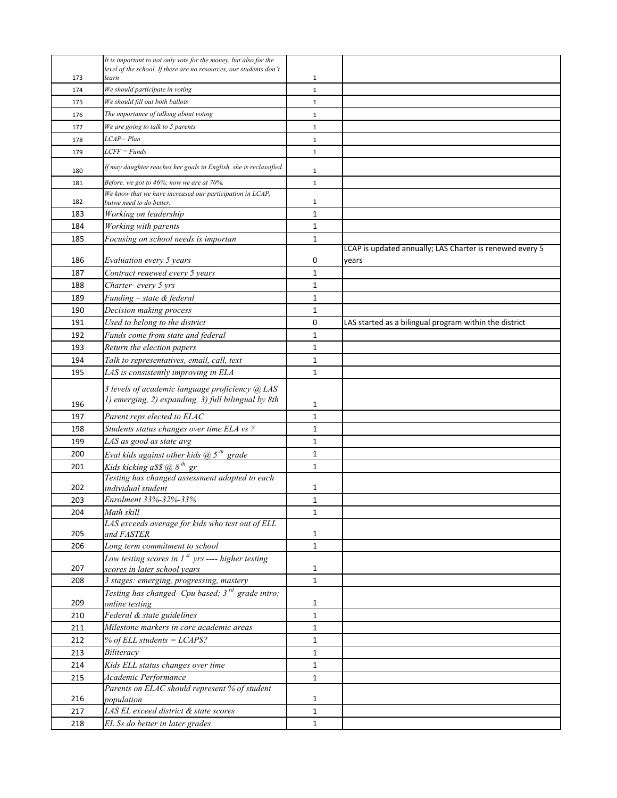|     | It is important to not only vote for the money, but also for the                                         |                   |                                                          |
|-----|----------------------------------------------------------------------------------------------------------|-------------------|----------------------------------------------------------|
|     | level of the school. If there are no resources, our students don't                                       |                   |                                                          |
| 173 | learn                                                                                                    | $\mathbf{1}$      |                                                          |
| 174 | We should participate in voting                                                                          | $\mathbf{1}$      |                                                          |
| 175 | We should fill out both ballots                                                                          | $\mathbf{1}$      |                                                          |
| 176 | The importance of talking about voting                                                                   | $\mathbf{1}$      |                                                          |
| 177 | We are going to talk to 5 parents                                                                        | $\mathbf 1$       |                                                          |
| 178 | LCAP=Plan                                                                                                | $\mathbf{1}$      |                                                          |
| 179 | $LCFF = Funds$                                                                                           | $\mathbf 1$       |                                                          |
| 180 | If may daughter reaches her goals in English, she is reclassified.                                       | $\mathbf{1}$      |                                                          |
| 181 | Before, we got to 46%; now we are at 70%.                                                                | $1\,$             |                                                          |
| 182 | We know that we have increased our participation in LCAP,<br>butwe need to do better.                    | $\mathbf{1}$      |                                                          |
| 183 | Working on leadership                                                                                    | $\mathbf{1}$      |                                                          |
| 184 | Working with parents                                                                                     | $\mathbf{1}$      |                                                          |
| 185 | Focusing on school needs is importan                                                                     | 1                 |                                                          |
|     |                                                                                                          |                   | LCAP is updated annually; LAS Charter is renewed every 5 |
| 186 | Evaluation every 5 years                                                                                 | 0                 | years                                                    |
| 187 | Contract renewed every 5 years                                                                           | $\mathbf{1}$      |                                                          |
| 188 | Charter- every 5 yrs                                                                                     | $\mathbf{1}$      |                                                          |
| 189 | Funding - state & federal                                                                                | $\mathbf{1}$      |                                                          |
| 190 | Decision making process                                                                                  | 1                 |                                                          |
| 191 | Used to belong to the district                                                                           | 0                 | LAS started as a bilingual program within the district   |
| 192 | Funds come from state and federal                                                                        | $\mathbf{1}$      |                                                          |
| 193 | Return the election papers                                                                               | $\mathbf{1}$      |                                                          |
| 194 | Talk to representatives, email, call, text                                                               | 1                 |                                                          |
| 195 | LAS is consistently improving in ELA                                                                     | 1                 |                                                          |
|     | 3 levels of academic language proficiency @ LAS                                                          |                   |                                                          |
| 196 | 1) emerging, 2) expanding, 3) full bilingual by 8th                                                      | 1                 |                                                          |
| 197 | Parent reps elected to ELAC                                                                              | $\mathbf{1}$      |                                                          |
| 198 | Students status changes over time ELA vs?                                                                | $\mathbf{1}$      |                                                          |
| 199 | LAS as good as state avg                                                                                 | 1                 |                                                          |
| 200 | Eval kids against other kids $\omega$ 5 <sup>th</sup> grade                                              | 1                 |                                                          |
| 201 | Kids kicking $a$ \$\$ @ $8^{th}$ gr                                                                      | $\mathbf{1}$      |                                                          |
|     | Testing has changed assessment adapted to each                                                           |                   |                                                          |
| 202 | individual student                                                                                       | 1                 |                                                          |
| 203 | Enrolment 33%-32%-33%                                                                                    | $\mathbf{1}$      |                                                          |
| 204 | Math skill                                                                                               | $\mathbf{1}$      |                                                          |
|     | LAS exceeds average for kids who test out of ELL                                                         |                   |                                                          |
| 205 | and FASTER                                                                                               | $\mathbf{1}$      |                                                          |
| 206 | Long term commitment to school                                                                           | $\mathbf{1}$      |                                                          |
| 207 | Low testing scores in $1^{st}$ yrs ---- higher testing                                                   |                   |                                                          |
|     | scores in later school years                                                                             | 1<br>$\mathbf{1}$ |                                                          |
| 208 | 3 stages: emerging, progressing, mastery<br>Testing has changed- Cpu based; 3 <sup>rd</sup> grade intro; |                   |                                                          |
| 209 | online testing                                                                                           | 1                 |                                                          |
| 210 | Federal & state guidelines                                                                               | $\mathbf{1}$      |                                                          |
| 211 | Milestone markers in core academic areas                                                                 | $\mathbf{1}$      |                                                          |
| 212 | % of ELL students = $LCAPS$ ?                                                                            | $\mathbf{1}$      |                                                          |
| 213 | Biliteracy                                                                                               | $\mathbf{1}$      |                                                          |
| 214 | Kids ELL status changes over time                                                                        | $\mathbf{1}$      |                                                          |
| 215 | Academic Performance                                                                                     | $\mathbf{1}$      |                                                          |
|     | Parents on ELAC should represent % of student                                                            |                   |                                                          |
| 216 | population                                                                                               | 1                 |                                                          |
| 217 | LAS EL exceed district & state scores                                                                    | 1                 |                                                          |
| 218 | EL Ss do better in later grades                                                                          | $\mathbf{1}$      |                                                          |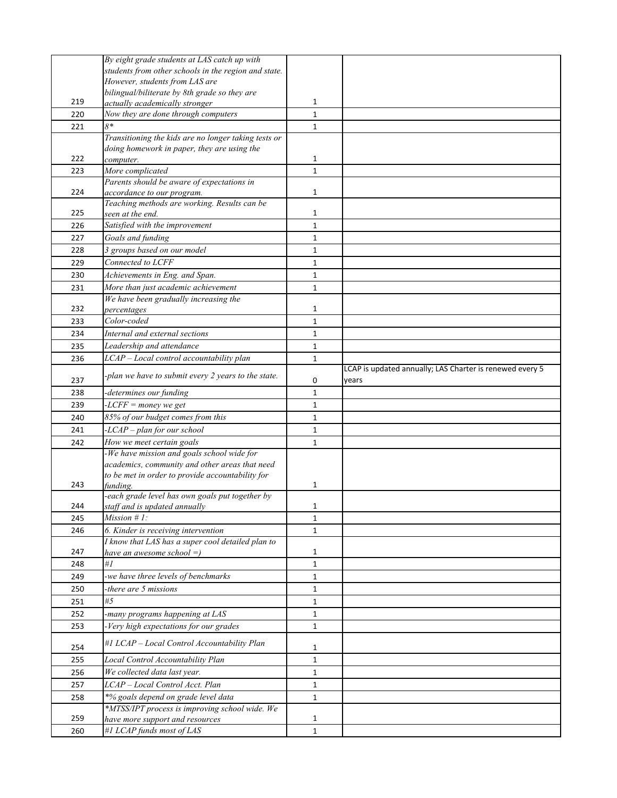|     | By eight grade students at LAS catch up with                                          |              |                                                                   |
|-----|---------------------------------------------------------------------------------------|--------------|-------------------------------------------------------------------|
|     | students from other schools in the region and state.                                  |              |                                                                   |
|     | However, students from LAS are                                                        |              |                                                                   |
|     | bilingual/biliterate by 8th grade so they are                                         |              |                                                                   |
| 219 | actually academically stronger                                                        | 1            |                                                                   |
| 220 | Now they are done through computers                                                   | $\mathbf{1}$ |                                                                   |
| 221 | $8*$                                                                                  | $\mathbf{1}$ |                                                                   |
|     | Transitioning the kids are no longer taking tests or                                  |              |                                                                   |
|     | doing homework in paper, they are using the                                           |              |                                                                   |
| 222 | computer.                                                                             | 1            |                                                                   |
| 223 | More complicated                                                                      | $\mathbf{1}$ |                                                                   |
|     | Parents should be aware of expectations in                                            |              |                                                                   |
| 224 | accordance to our program.                                                            | 1            |                                                                   |
| 225 | Teaching methods are working. Results can be<br>seen at the end.                      | 1            |                                                                   |
| 226 | Satisfied with the improvement                                                        | $\mathbf{1}$ |                                                                   |
|     |                                                                                       |              |                                                                   |
| 227 | Goals and funding<br>3 groups based on our model                                      | 1            |                                                                   |
| 228 |                                                                                       | $\mathbf{1}$ |                                                                   |
| 229 | Connected to LCFF                                                                     | 1            |                                                                   |
| 230 | Achievements in Eng. and Span.                                                        | 1            |                                                                   |
| 231 | More than just academic achievement                                                   | $\mathbf{1}$ |                                                                   |
|     | We have been gradually increasing the                                                 |              |                                                                   |
| 232 | percentages                                                                           | 1            |                                                                   |
| 233 | Color-coded                                                                           | $\mathbf{1}$ |                                                                   |
| 234 | Internal and external sections                                                        | $\mathbf{1}$ |                                                                   |
| 235 | Leadership and attendance                                                             | $\mathbf{1}$ |                                                                   |
| 236 | LCAP - Local control accountability plan                                              | 1            |                                                                   |
| 237 | -plan we have to submit every 2 years to the state.                                   | 0            | LCAP is updated annually; LAS Charter is renewed every 5<br>years |
| 238 | determines our funding                                                                | $\mathbf{1}$ |                                                                   |
|     |                                                                                       |              |                                                                   |
|     |                                                                                       |              |                                                                   |
| 239 | $-LCFF = money we get$                                                                | 1            |                                                                   |
| 240 | 85% of our budget comes from this                                                     | 1            |                                                                   |
| 241 | -LCAP - plan for our school                                                           | $\mathbf{1}$ |                                                                   |
| 242 | How we meet certain goals                                                             | $\mathbf{1}$ |                                                                   |
|     | -We have mission and goals school wide for                                            |              |                                                                   |
|     | academics, community and other areas that need                                        |              |                                                                   |
| 243 | to be met in order to provide accountability for<br>funding.                          | 1            |                                                                   |
|     | -each grade level has own goals put together by                                       |              |                                                                   |
| 244 | staff and is updated annually                                                         | 1            |                                                                   |
| 245 | $Mission #1$ :                                                                        | $\mathbf{1}$ |                                                                   |
| 246 | 6. Kinder is receiving intervention                                                   | $\mathbf{1}$ |                                                                   |
|     | I know that LAS has a super cool detailed plan to                                     |              |                                                                   |
| 247 | have an awesome school $=$ )                                                          | 1            |                                                                   |
| 248 | #I                                                                                    | $\mathbf{1}$ |                                                                   |
| 249 | -we have three levels of benchmarks                                                   | $\mathbf{1}$ |                                                                   |
| 250 | -there are 5 missions                                                                 | $\mathbf{1}$ |                                                                   |
| 251 | #5                                                                                    | 1            |                                                                   |
| 252 | -many programs happening at LAS                                                       | 1            |                                                                   |
| 253 | -Very high expectations for our grades                                                | $\mathbf{1}$ |                                                                   |
| 254 | #1 LCAP - Local Control Accountability Plan                                           | 1            |                                                                   |
| 255 | Local Control Accountability Plan                                                     | $\mathbf{1}$ |                                                                   |
| 256 | We collected data last year.                                                          | $\mathbf{1}$ |                                                                   |
|     | LCAP - Local Control Acct. Plan                                                       | 1            |                                                                   |
| 257 |                                                                                       |              |                                                                   |
| 258 | *% goals depend on grade level data<br>*MTSS/IPT process is improving school wide. We | $\mathbf{1}$ |                                                                   |
| 259 | have more support and resources<br>#1 LCAP funds most of LAS                          | 1            |                                                                   |